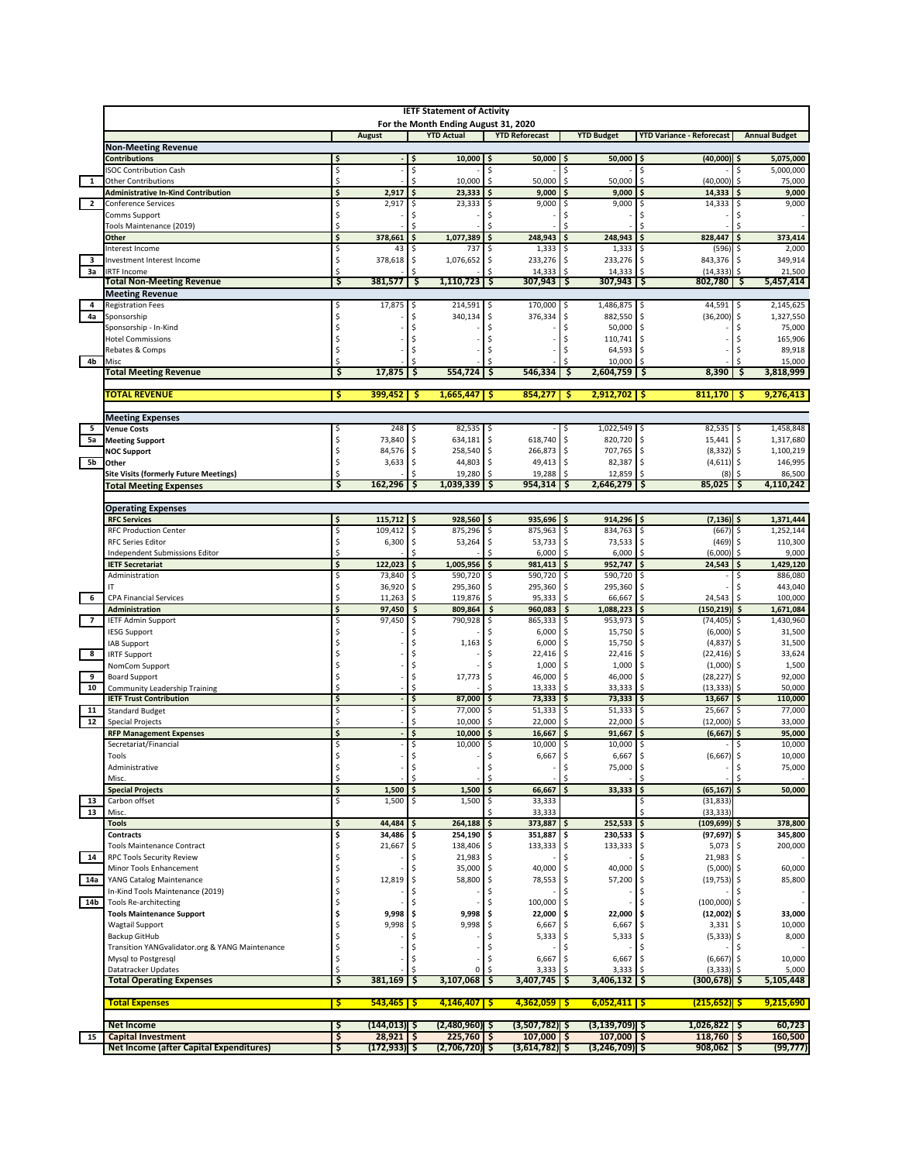|                         |                                                           |                         |                               |           | <b>IETF Statement of Activity</b>    |                                  |                          |                                    |                                     |                              |  |
|-------------------------|-----------------------------------------------------------|-------------------------|-------------------------------|-----------|--------------------------------------|----------------------------------|--------------------------|------------------------------------|-------------------------------------|------------------------------|--|
|                         |                                                           |                         |                               |           | For the Month Ending August 31, 2020 |                                  |                          |                                    |                                     |                              |  |
|                         |                                                           |                         | <b>August</b>                 |           | <b>YTD Actual</b>                    | <b>YTD Reforecast</b>            |                          | <b>YTD Budget</b>                  | <b>YTD Variance - Reforecast</b>    | <b>Annual Budget</b>         |  |
|                         | <b>Non-Meeting Revenue</b>                                |                         |                               |           |                                      |                                  |                          |                                    |                                     |                              |  |
|                         | <b>Contributions</b><br><b>ISOC Contribution Cash</b>     | \$<br>\$                |                               | \$        | 10,000                               | 50,000<br>\$                     |                          | 50,000                             | (40,000)<br>Ś                       | 5,075,000<br>5,000,000       |  |
| $\mathbf{1}$            | <b>Other Contributions</b>                                | Ś                       |                               |           | 10,000                               | \$<br>50,000                     | Ś                        | 50,000                             | \$<br>(40,000)                      | \$<br>75,000                 |  |
|                         | <b>Administrative In-Kind Contribution</b>                | $\overline{\mathsf{s}}$ | 2,917                         | \$        | 23,333                               | \$<br>9,000                      |                          | 9,000                              | \$<br>14,333                        | 9,000                        |  |
| $\overline{\mathbf{2}}$ | Conference Services                                       | \$                      | 2,917                         | \$.       | 23,333                               | 9,000<br>\$                      | Ŝ                        | 9,000                              | 14,333<br>\$                        | 9,000                        |  |
|                         | Comms Support                                             | \$                      |                               |           |                                      | Ś                                |                          |                                    |                                     |                              |  |
|                         | Tools Maintenance (2019)<br>Other                         | ¢<br>\$                 | 378,661                       |           | 1,077,389                            | 248,943                          |                          | 248,943                            | 828,447<br>\$                       | 373,414                      |  |
|                         | Interest Income                                           | \$                      | 43                            |           | 737                                  | 1,333                            |                          | 1,333                              | (596)                               | 2,000                        |  |
| 3                       | Investment Interest Income                                | \$                      | 378,618                       | \$        | 1,076,652                            | \$<br>233,276                    | -\$                      | 233,276                            | 843,376                             | 349,914                      |  |
| За                      | <b>IRTF Income</b>                                        | Ś                       |                               |           |                                      | 14,333                           |                          | 14,333                             | (14, 333)                           | 21,500<br>Ŝ                  |  |
|                         | <b>Total Non-Meeting Revenue</b>                          | ॱऽ                      | 381,577                       | -\$       | 1,110,723                            | \$<br>307,943                    | \$                       | 307,943                            | 5 ا<br>802,780                      | 5,457,414<br>- \$            |  |
| $\overline{4}$          | <b>Meeting Revenue</b><br><b>Registration Fees</b>        | \$                      | 17,875                        | \$        | 214,591                              | 170,000<br>\$                    |                          | 1,486,875                          | 44,591                              | 2,145,625                    |  |
| 4a                      | Sponsorship                                               |                         |                               |           | 340,134                              | \$<br>376,334                    | l \$<br>\$               | 882,550                            | ۱\$<br>(36, 200)                    | \$<br>1,327,550<br>\$        |  |
|                         | Sponsorship - In-Kind                                     |                         |                               |           |                                      | Ś                                |                          | 50,000                             |                                     | 75,000                       |  |
|                         | <b>Hotel Commissions</b>                                  |                         |                               |           |                                      |                                  |                          | 110,741                            |                                     | 165,906                      |  |
|                         | Rebates & Comps                                           |                         |                               |           |                                      |                                  |                          | 64,593                             |                                     | 89,918                       |  |
| 4b                      | Misc                                                      |                         |                               |           | 554,724                              | 546,334                          | Ś                        | 10,000                             |                                     | 15,000                       |  |
|                         | <b>Total Meeting Revenue</b>                              | \$                      | 17,875                        | \$        |                                      | \$                               |                          | 2,604,759                          | 8,390<br>S                          | 3,818,999<br>\$              |  |
|                         | <b>TOTAL REVENUE</b>                                      | \$                      | 399,452                       | -\$       | 1,665,447                            | $854,277$ \$<br>-S               |                          | $2,912,702$ \$                     | 811,170                             | 9,276,413<br>-\$             |  |
|                         |                                                           |                         |                               |           |                                      |                                  |                          |                                    |                                     |                              |  |
|                         | <b>Meeting Expenses</b>                                   |                         |                               |           |                                      |                                  |                          |                                    |                                     |                              |  |
| 5                       | <b>Venue Costs</b>                                        | \$                      | 248                           | I\$       | 82,535                               | -\$                              | -\$                      | 1,022,549 \$                       | 82,535 \$                           | 1,458,848                    |  |
| 5a                      | <b>Meeting Support</b><br><b>NOC Support</b>              | \$<br>\$                | 73,840<br>84,576              | -\$<br>\$ | 634,181<br>258,540                   | \$<br>618,740<br>l\$<br>266,873  | -\$<br>\$                | 820,720<br>707,765                 | 15,441<br>\$<br>$(8,332)$ \$<br>-\$ | 1,317,680<br>\$<br>1,100,219 |  |
| 5b                      | Other                                                     | \$                      | 3,633                         | \$        | 44,803                               | \$<br>49,413                     | -\$                      | 82,387                             | $(4,611)$ \$                        | 146,995                      |  |
|                         | <b>Site Visits (formerly Future Meetings)</b>             | Ś                       |                               |           | 19,280                               | \$<br>19,288                     |                          | 12,859                             | (8)                                 | 86,500                       |  |
|                         | <b>Total Meeting Expenses</b>                             | S                       | 162,296                       | -S        | 1,039,339                            | 954,314<br>s                     |                          | 2,646,279                          | 85,025<br>-S                        | 4,110,242<br>-S              |  |
|                         |                                                           |                         |                               |           |                                      |                                  |                          |                                    |                                     |                              |  |
|                         | <b>Operating Expenses</b>                                 |                         |                               |           |                                      |                                  |                          |                                    |                                     |                              |  |
|                         | <b>RFC Services</b><br><b>RFC Production Center</b>       | \$<br>\$                | 115,712<br>109,412            | \$        | 928,560<br>875,296                   | 935,696<br>\$<br>\$<br>875,963   |                          | 914,296 \$<br>834,763              | $(7, 136)$ \$<br>(667               | 1,371,444<br>1,252,144       |  |
|                         | <b>RFC Series Editor</b>                                  | \$                      | 6,300                         | \$        | 53,264                               | \$<br>53,733                     | \$                       | 73,533                             | (469)<br>-Ŝ                         | 110,300<br>\$                |  |
|                         | Independent Submissions Editor                            |                         |                               |           |                                      | 6,000                            |                          | 6,000                              | (6,000)                             | 9,000                        |  |
|                         | <b>IETF Secretariat</b>                                   | $\overline{\mathsf{s}}$ | 122,023                       | \$        | 1,005,956                            | \$<br>981,413                    |                          | 952,747                            | \$<br>24,543                        | 1,429,120                    |  |
|                         | Administration                                            | \$                      | 73,840                        |           | 590,720                              | 590,720<br>\$                    | \$                       | 590,720                            | \$                                  | 886,080                      |  |
|                         | IT                                                        | \$<br>Ś                 | 36,920                        | -\$       | 295,360                              | \$<br>295,360                    | \$<br>Ś                  | 295,360                            | Ŝ.                                  | 443,040                      |  |
| - 6                     | <b>CPA Financial Services</b><br>Administration           | \$                      | 11,263<br>97,450              | Ŝ.<br>\$  | 119,876<br>809,864                   | 95,333<br>\$<br>960,083          |                          | 66,667<br>1,088,223                | \$<br>24,543<br>\$<br>(150, 219)    | 100,000<br>\$<br>1,671,084   |  |
| $\overline{7}$          | <b>IETF Admin Support</b>                                 | \$                      | 97,450                        |           | 790,928                              | 865,333<br>\$                    | Ŝ                        | 953,973                            | (74, 405)<br>\$                     | 1,430,960                    |  |
|                         | <b>IESG Support</b>                                       |                         |                               |           |                                      | 6,000                            |                          | 15,750                             | (6,000)                             | 31,500                       |  |
|                         | IAB Support                                               |                         |                               |           | 1,163                                | 6,000<br>\$                      |                          | 15,750                             | (4, 837)<br>Ŝ                       | 31,500                       |  |
| $_{\rm 8}$              | <b>IRTF Support</b>                                       |                         |                               |           |                                      | 22,416                           |                          | 22,416                             | (22, 416)                           | 33,624                       |  |
| 9                       | NomCom Support                                            | \$                      |                               |           | 17,773                               | 1,000<br>\$<br>46,000            | Ŝ.                       | 1,000<br>46,000                    | (1,000)                             | 1,500<br>92,000              |  |
| 10                      | <b>Board Support</b><br>Community Leadership Training     | Ś                       |                               |           |                                      | 13,333                           |                          | 33,333                             | (28, 227)<br>(13, 333)<br>Ŝ         | 50,000                       |  |
|                         | <b>IETF Trust Contribution</b>                            | \$                      |                               | \$        | 87,000                               | 73,333<br>\$                     |                          | 73,333                             | 13,667<br>5                         | 110,000<br>Ś                 |  |
| 11                      | <b>Standard Budget</b>                                    | \$                      |                               | \$        | 77,000                               | 51,333<br>\$                     | \$                       | 51,333                             | 25,667<br>∣\$                       | 77,000<br>\$                 |  |
| 12                      | <b>Special Projects</b>                                   |                         |                               |           | 10,000                               | 22,000                           |                          | 22,000                             | (12,000)                            | 33,000                       |  |
|                         | <b>RFP Management Expenses</b>                            | \$                      |                               | \$        | 10,000                               | 16,667                           |                          | 91,667                             | (6, 667)                            | 95,000                       |  |
|                         | Secretariat/Financial<br>Tools                            | \$                      |                               | Ś         | 10,000                               | 10,000<br>\$<br>6,667            | \$.<br>$\hat{\varsigma}$ | 10,000<br>6,667                    | \$<br>Ś.<br>(6, 667)                | 10,000<br>10,000<br>Ŝ.       |  |
|                         | Administrative                                            | \$                      |                               |           |                                      | Ś                                | \$                       | 75,000                             | -Ŝ                                  | 75,000<br>\$                 |  |
|                         | Misc.                                                     | \$                      |                               |           |                                      |                                  |                          |                                    |                                     |                              |  |
|                         | <b>Special Projects</b>                                   | \$                      | 1,500                         | \$        | 1,500                                | \$<br>66,667                     |                          | 33,333                             | (65, 167)<br>\$                     | 50,000<br>\$                 |  |
| 13                      | Carbon offset                                             | \$                      | 1,500                         | \$        | 1,500                                | 33,333<br>\$                     |                          |                                    | \$<br>(31, 833)                     |                              |  |
| 13                      | Misc.<br><b>Tools</b>                                     | \$                      | 44,484                        |           | 264,188                              | 33,333<br>373,887                |                          | 252,533                            | (33, 333)<br>l\$<br>(109, 699)      | 378,800                      |  |
|                         | <b>Contracts</b>                                          | \$                      | 34,486                        |           | 254,190                              | 351,887                          |                          | 230,533                            | \$<br>(97, 697)                     | 345,800                      |  |
|                         | <b>Tools Maintenance Contract</b>                         | \$                      | 21,667                        |           | 138,406                              | 133,333<br>\$                    | \$.                      | 133,333                            | 5,073<br>l \$                       | 200,000                      |  |
| 14                      | <b>RPC Tools Security Review</b>                          | \$                      |                               |           | 21,983                               | \$                               |                          |                                    | 21,983                              | \$                           |  |
|                         | Minor Tools Enhancement                                   | \$                      |                               |           | 35,000                               | \$<br>40,000                     | l \$                     | 40,000 \$                          | $(5,000)$ \$                        | 60,000                       |  |
| 14a                     | YANG Catalog Maintenance                                  | \$                      | 12,819                        | -S        | 58,800                               | \$<br>78,553                     | \$                       | 57,200                             | (19, 753)<br>\$                     | 85,800<br>\$                 |  |
| 14b                     | In-Kind Tools Maintenance (2019)<br>Tools Re-architecting | \$<br>\$                |                               |           |                                      | \$<br>100,000<br>Ś               |                          |                                    | \$<br>$(100,000)$ \$                |                              |  |
|                         | <b>Tools Maintenance Support</b>                          | \$                      | 9,998                         |           | 9,998                                | 22,000<br>\$                     |                          | 22,000                             | (12,002)<br>۱\$                     | 33,000                       |  |
|                         | <b>Wagtail Support</b>                                    | Ś                       | 9,998                         |           | 9,998                                | \$<br>6,667                      |                          | 6,667                              | 3,331                               | 10,000                       |  |
|                         | <b>Backup GitHub</b>                                      | Ś                       |                               |           |                                      | Ś<br>5,333                       |                          | 5,333                              | (5, 333)                            | 8,000<br>\$                  |  |
|                         | Transition YANGvalidator.org & YANG Maintenance           | \$                      |                               |           |                                      | \$                               |                          |                                    |                                     |                              |  |
|                         | Mysql to Postgresql<br>Datatracker Updates                | \$<br>\$                |                               |           | $\Omega$                             | Ś<br>6,667<br>\$<br>3,333        | .S                       | 6,667<br>3,333                     | (6, 667)<br>(3, 333)                | 10,000<br>5,000              |  |
|                         | <b>Total Operating Expenses</b>                           | ॱऽ                      | 381,169                       | -\$       | 3,107,068                            | \$<br>3,407,745                  | S                        | 3,406,132                          | (300,678)  \$<br>۱Ş                 | 5,105,448                    |  |
|                         |                                                           |                         |                               |           |                                      |                                  |                          |                                    |                                     |                              |  |
|                         | <b>Total Expenses</b>                                     | <b>Ş</b>                | $543,465$ \$                  |           | $4,146,407$   \$                     | $4,362,059$ \$                   |                          | $6,052,411$ \$                     | $(215, 652)$ \$                     | 9,215,690                    |  |
|                         |                                                           |                         |                               |           |                                      |                                  |                          |                                    |                                     |                              |  |
| 15                      | <b>Net Income</b><br><b>Capital Investment</b>            | Ş<br>\$                 | (144,013) \$<br>$28,921$   \$ |           | $(2,480,960)$ \$<br>$225,760$ \$     | $(3,507,782)$ \$<br>$107,000$ \$ |                          | $(3, 139, 709)$ \$<br>$107,000$ \$ | $1,026,822$ \$<br>$118,760$ \$      | 60,723<br>160,500            |  |
|                         | <b>Net Income (after Capital Expenditures)</b>            | ς.                      | (172,933) \$                  |           | $(2,706,720)$ \$                     | $(3,614,782)$ \$                 |                          | $(3,246,709)$ \$                   | $908,062$ \$                        | (99, 777)                    |  |